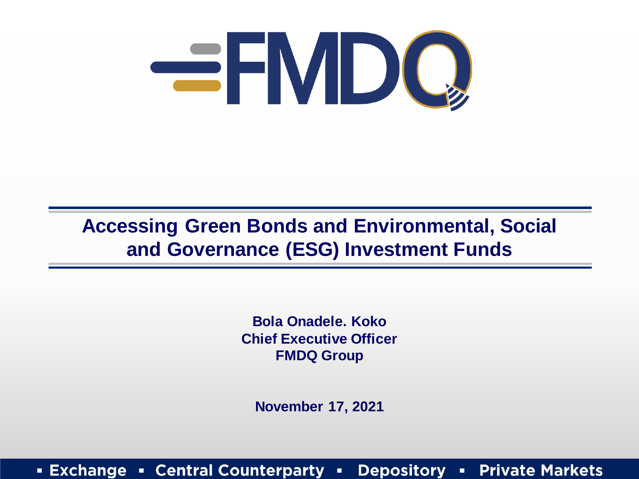

#### **Accessing Green Bonds and Environmental, Social and Governance (ESG) Investment Funds**

**Bola Onadele. Koko Chief Executive Officer FMDQ Group**

**November 17, 2021**

**Exchange • Central Counterparty Depository Private Markets**  $\blacksquare$  $\mathbf{H}^{\prime}$  .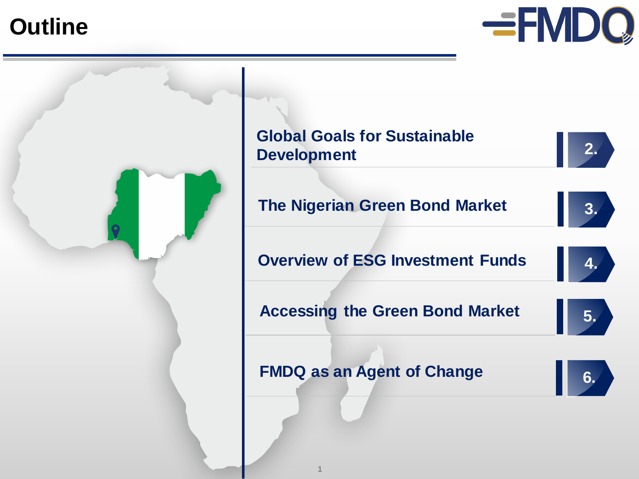**Outline**



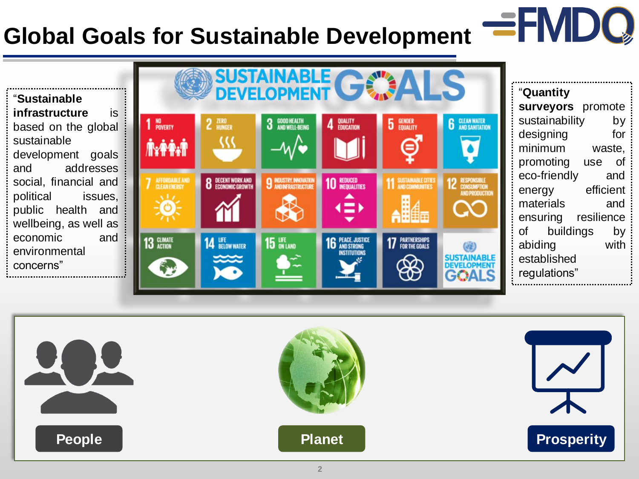### **Global Goals for Sustainable Development**

"**Sustainable infrastructure** is based on the global sustainable development goals and addresses social, financial and political issues, public health and wellbeing, as well as economic and environmental concerns"



"**Quantity surveyors** promote sustainability by designing for minimum waste, promoting use of eco-friendly and energy efficient materials and ensuring resilience of buildings by abiding with established regulations"

**EFMDQ** 

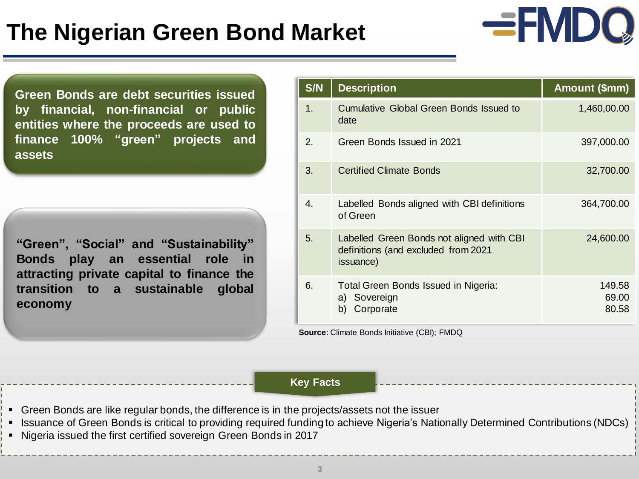### **The Nigerian Green Bond Market**

**Green Bonds are debt securities issued by financial, non-financial or public entities where the proceeds are used to finance 100% "green" projects and assets**

**"Green", "Social" and "Sustainability" Bonds play an essential role in attracting private capital to finance the transition to a sustainable global economy**

| S/N         | <b>Description</b>                                                                            | Amount (\$mm)            |
|-------------|-----------------------------------------------------------------------------------------------|--------------------------|
| 1.          | <b>Cumulative Global Green Bonds Issued to</b><br>date                                        | 1,460,00.00              |
| 2.          | Green Bonds Issued in 2021                                                                    | 397,000.00               |
| 3.          | <b>Certified Climate Bonds</b>                                                                | 32,700.00                |
| $4_{\cdot}$ | Labelled Bonds aligned with CBI definitions<br>of Green                                       | 364,700.00               |
| 5.          | Labelled Green Bonds not aligned with CBI<br>definitions (and excluded from 2021<br>issuance) | 24,600.00                |
| 6.          | Total Green Bonds Issued in Nigeria:<br>a) Sovereign<br>Corporate<br>b)                       | 149.58<br>69.00<br>80.58 |

**EFMDQ** 

**Source**: Climate Bonds Initiative (CBI); FMDQ

#### **Key Facts**

- Green Bonds are like regular bonds, the difference is in the projects/assets not the issuer
- Issuance of Green Bonds is critical to providing required funding to achieve Nigeria's Nationally Determined Contributions (NDCs)
- Nigeria issued the first certified sovereign Green Bonds in 2017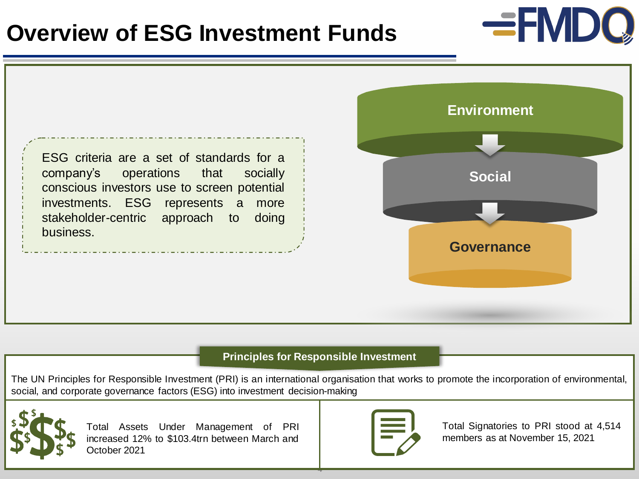#### **Overview of ESG Investment Funds**



#### **Principles for Responsible Investment**

The UN Principles for Responsible Investment (PRI) is an international organisation that works to promote the incorporation of environmental, social, and corporate governance factors (ESG) into investment decision-making

**4**



Total Assets Under Management of PRI increased 12% to \$103.4trn between March and October 2021



Total Signatories to PRI stood at 4,514 members as at November 15, 2021

**EFMDQ**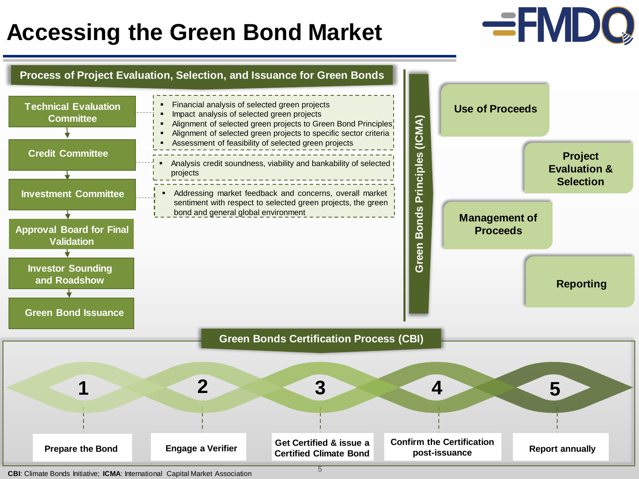### **Accessing the Green Bond Market**

## **EFMDQ**



**CBI**: Climate Bonds Initiative; **ICMA**: International Capital Market Association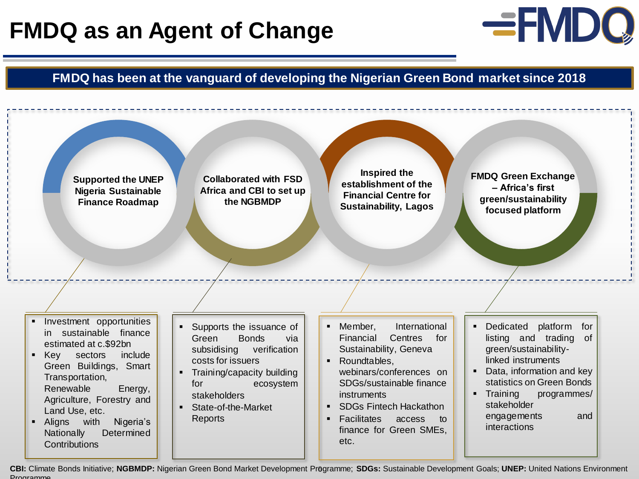### **FMDQ as an Agent of Change**



**FMDQ has been at the vanguard of developing the Nigerian Green Bond market since 2018**



**Collaborated with FSD Africa and CBI to set up the NGBMDP**

**Inspired the establishment of the Financial Centre for Sustainability, Lagos** 

**FMDQ Green Exchange – Africa's first green/sustainability focused platform** 

- Investment opportunities in sustainable finance estimated at c.\$92bn
- **EXECT** Sectors include Green Buildings, Smart Transportation, Renewable Energy, Agriculture, Forestry and Land Use, etc.
- Aligns with Nigeria's Nationally Determined **Contributions**
- Supports the issuance of Green Bonds via subsidising verification costs for issuers
- **•** Training/capacity building for ecosystem stakeholders
- State-of-the-Market Reports
- Member, International Financial Centres for Sustainability, Geneva
- Roundtables, webinars/conferences on SDGs/sustainable finance instruments
- SDGs Fintech Hackathon
- Facilitates access to finance for Green SMEs, etc.
- Dedicated platform for listing and trading of green/sustainabilitylinked instruments
- Data, information and key statistics on Green Bonds
- **Training programmes/** stakeholder engagements and interactions

**6 CBI:** Climate Bonds Initiative; **NGBMDP:** Nigerian Green Bond Market Development Programme; **SDGs:** Sustainable Development Goals; **UNEP:** United Nations Environment **Programme**